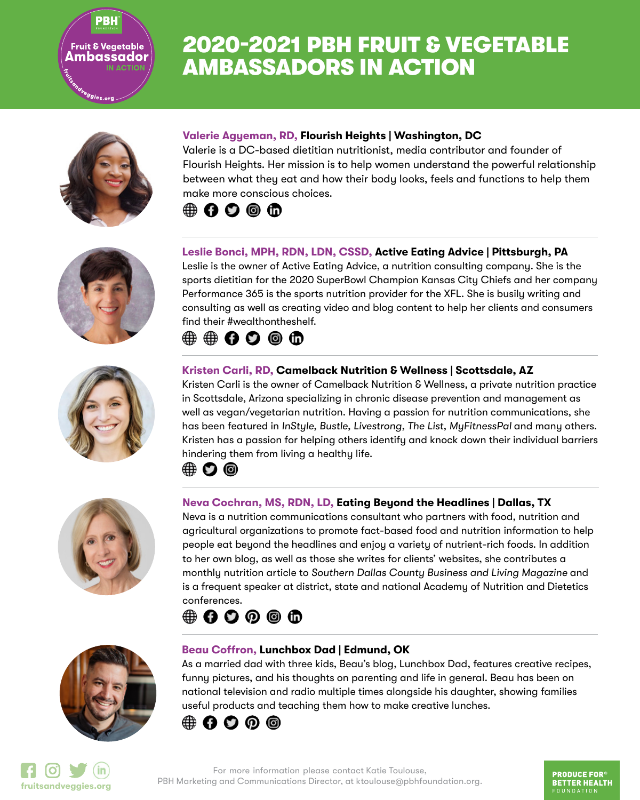<sup>9</sup>9ies.org

PBH

# 2020-2021 PBH FRUIT & VEGETABLE AMBASSADORS IN ACTION





Valerie is a DC-based dietitian nutritionist, media contributor and founder of Flourish Heights. Her mission is to help women understand the powerful relationship between what they eat and how their body looks, feels and functions to help them make more conscious choices.

# $\oplus$  00  $\oplus$





### **Leslie Bonci, MPH, RDN, LDN, CSSD, Active Eating Advice | Pittsburgh, PA**

Leslie is the owner of Active Eating Advice, a nutrition consulting company. She is the sports dietitian for the 2020 SuperBowl Champion Kansas City Chiefs and her company Performance 365 is the sports nutrition provider for the XFL. She is busily writing and consulting as well as creating video and blog content to help her clients and consumers find their #wealthontheshelf.

# $\textcircled{\tiny{\textcircled{\tiny{+}}}}$   $\textcircled{\tiny{\textcircled{\tiny{+}}}}$   $\textcircled{\tiny{\textcircled{\tiny{+}}}}$   $\textcircled{\tiny{\textcircled{\tiny{+}}}}$

### **Kristen Carli, RD, Camelback Nutrition & Wellness | Scottsdale, AZ**

Kristen Carli is the owner of Camelback Nutrition & Wellness, a private nutrition practice in Scottsdale, Arizona specializing in chronic disease prevention and management as well as vegan/vegetarian nutrition. Having a passion for nutrition communications, she has been featured in *InStyle, Bustle, Livestrong, The List, MyFitnessPal and many others.* Kristen has a passion for helping others identify and knock down their individual barriers hindering them from living a healthy life.



### **Neva Cochran, MS, RDN, LD, Eating Beyond the Headlines | Dallas, TX**

Neva is a nutrition communications consultant who partners with food, nutrition and agricultural organizations to promote fact-based food and nutrition information to help people eat beyond the headlines and enjoy a variety of nutrient-rich foods. In addition to her own blog, as well as those she writes for clients' websites, she contributes a monthly nutrition article to *Southern Dallas County Business and Living Magazine* and is a frequent speaker at district, state and national Academy of Nutrition and Dietetics conferences.





#### **Beau Coffron, Lunchbox Dad | Edmund, OK**

As a married dad with three kids, Beau's blog, Lunchbox Dad, features creative recipes, funny pictures, and his thoughts on parenting and life in general. Beau has been on national television and radio multiple times alongside his daughter, showing families useful products and teaching them how to make creative lunches.





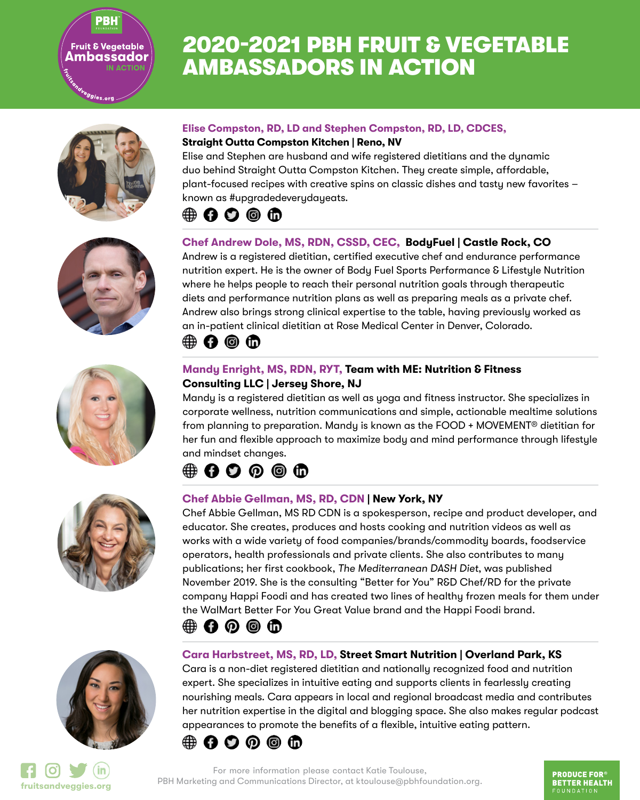### **Fruit & Vegetable** Ambassador **IN ACTION**

<sup>e</sup>ggies.org

**PBH** 

# 2020-2021 PBH FRUIT & VEGETABLE AMBASSADORS IN ACTION















### **Elise Compston, RD, LD and Stephen Compston, RD, LD, CDCES, Straight Outta Compston Kitchen | Reno, NV**

Elise and Stephen are husband and wife registered dietitians and the dynamic duo behind Straight Outta Compston Kitchen. They create simple, affordable, plant-focused recipes with creative spins on classic dishes and tasty new favorites – known as #upgradedeverydayeats.

# (#) {} {} {} {} {}

### **Chef Andrew Dole, MS, RDN, CSSD, CEC, BodyFuel | Castle Rock, CO**

Andrew is a registered dietitian, certified executive chef and endurance performance nutrition expert. He is the owner of Body Fuel Sports Performance & Lifestyle Nutrition where he helps people to reach their personal nutrition goals through therapeutic diets and performance nutrition plans as well as preparing meals as a private chef. Andrew also brings strong clinical expertise to the table, having previously worked as an in-patient clinical dietitian at Rose Medical Center in Denver, Colorado.

# $\oplus$  0  $\oplus$

### **Mandy Enright, MS, RDN, RYT, Team with ME: Nutrition & Fitness Consulting LLC | Jersey Shore, NJ**

Mandy is a registered dietitian as well as yoga and fitness instructor. She specializes in corporate wellness, nutrition communications and simple, actionable mealtime solutions from planning to preparation. Mandy is known as the FOOD + MOVEMENT® dietitian for her fun and flexible approach to maximize body and mind performance through lifestyle and mindset changes.

# **∰ΩΩ⊙©** th

### **Chef Abbie Gellman, MS, RD, CDN | New York, NY**

Chef Abbie Gellman, MS RD CDN is a spokesperson, recipe and product developer, and educator. She creates, produces and hosts cooking and nutrition videos as well as works with a wide variety of food companies/brands/commodity boards, foodservice operators, health professionals and private clients. She also contributes to many publications; her first cookbook, *The Mediterranean DASH Diet*, was published November 2019. She is the consulting "Better for You" R&D Chef/RD for the private company Happi Foodi and has created two lines of healthy frozen meals for them under the WalMart Better For You Great Value brand and the Happi Foodi brand.

### $\oplus$  000

### **Cara Harbstreet, MS, RD, LD, Street Smart Nutrition | Overland Park, KS**

Cara is a non-diet registered dietitian and nationally recognized food and nutrition expert. She specializes in intuitive eating and supports clients in fearlessly creating nourishing meals. Cara appears in local and regional broadcast media and contributes her nutrition expertise in the digital and blogging space. She also makes regular podcast appearances to promote the benefits of a flexible, intuitive eating pattern.



For more information please contact Katie Toulouse, PBH Marketing and Communications Director, at ktoulouse@pbhfoundation.org. **fruitsandveggies.org**

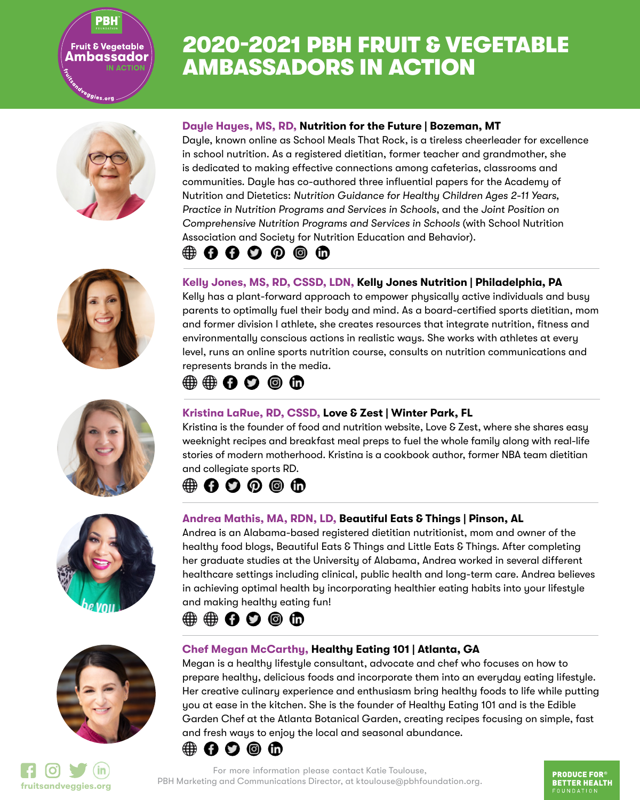<sup>e</sup>ggies.org

PBH

# 2020-2021 PBH FRUIT & VEGETABLE AMBASSADORS IN ACTION











#### **Dayle Hayes, MS, RD, Nutrition for the Future | Bozeman, MT**

Dayle, known online as School Meals That Rock, is a tireless cheerleader for excellence in school nutrition. As a registered dietitian, former teacher and grandmother, she is dedicated to making effective connections among cafeterias, classrooms and communities. Dayle has co-authored three influential papers for the Academy of Nutrition and Dietetics: *Nutrition Guidance for Healthy Children Ages 2-11 Years, Practice in Nutrition Programs and Services in Schools*, and the *Joint Position on Comprehensive Nutrition Programs and Services in Schools* (with School Nutrition Association and Society for Nutrition Education and Behavior).

# **⇔ იი** ი ი ო

### **Kelly Jones, MS, RD, CSSD, LDN, Kelly Jones Nutrition | Philadelphia, PA**

Kelly has a plant-forward approach to empower physically active individuals and busy parents to optimally fuel their body and mind. As a board-certified sports dietitian, mom and former division I athlete, she creates resources that integrate nutrition, fitness and environmentally conscious actions in realistic ways. She works with athletes at every level, runs an online sports nutrition course, consults on nutrition communications and represents brands in the media.

# $\textcircled{\tiny{\textcircled{\tiny{+}}}} \oplus \textcircled{\tiny{\textcircled{\tiny{+}}}} \oplus \textcircled{\tiny{\textcircled{\tiny{+}}}}$

### **Kristina LaRue, RD, CSSD, Love & Zest | Winter Park, FL**

Kristina is the founder of food and nutrition website, Love & Zest, where she shares easy weeknight recipes and breakfast meal preps to fuel the whole family along with real-life stories of modern motherhood. Kristina is a cookbook author, former NBA team dietitian and collegiate sports RD.

# $\oplus$  0000

### **Andrea Mathis, MA, RDN, LD, Beautiful Eats & Things | Pinson, AL**

Andrea is an Alabama-based registered dietitian nutritionist, mom and owner of the healthy food blogs, Beautiful Eats & Things and Little Eats & Things. After completing her graduate studies at the University of Alabama, Andrea worked in several different healthcare settings including clinical, public health and long-term care. Andrea believes in achieving optimal health by incorporating healthier eating habits into your lifestyle and making healthy eating fun!

# **⇔⊕∩O⊙©**

### **Chef Megan McCarthy, Healthy Eating 101 | Atlanta, GA**

Megan is a healthy lifestyle consultant, advocate and chef who focuses on how to prepare healthy, delicious foods and incorporate them into an everyday eating lifestyle. Her creative culinary experience and enthusiasm bring healthy foods to life while putting you at ease in the kitchen. She is the founder of Healthy Eating 101 and is the Edible Garden Chef at the Atlanta Botanical Garden, creating recipes focusing on simple, fast and fresh ways to enjoy the local and seasonal abundance.



For more information please contact Katie Toulouse, PBH Marketing and Communications Director, at ktoulouse@pbhfoundation.org. **fruitsandveggies.org**

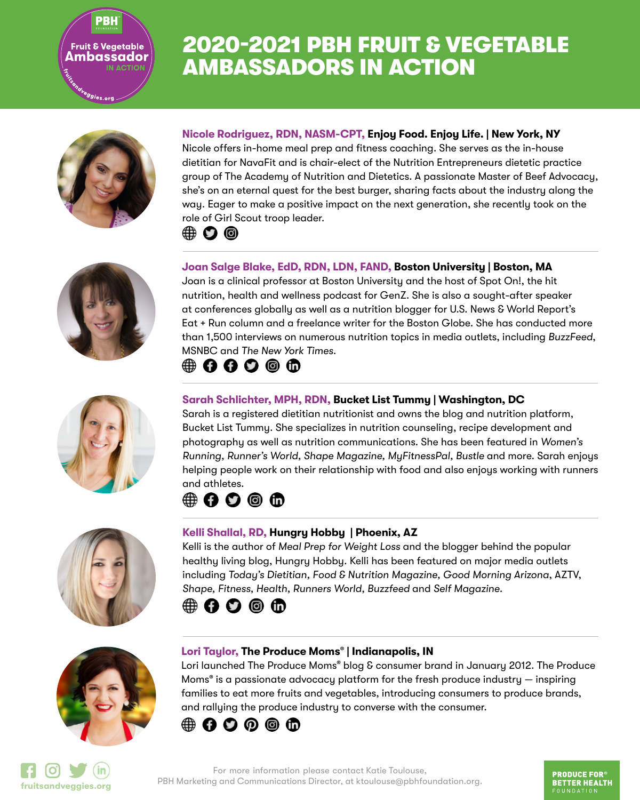<sup>9</sup>99ies.org

PBH

# 2020-2021 PBH FRUIT & VEGETABLE AMBASSADORS IN ACTION











### **Nicole Rodriguez, RDN, NASM-CPT, Enjoy Food. Enjoy Life. | New York, NY**

Nicole offers in-home meal prep and fitness coaching. She serves as the in-house dietitian for NavaFit and is chair-elect of the Nutrition Entrepreneurs dietetic practice group of The Academy of Nutrition and Dietetics. A passionate Master of Beef Advocacy, she's on an eternal quest for the best burger, sharing facts about the industry along the way. Eager to make a positive impact on the next generation, she recently took on the [role](https://enjoyfoodenjoylife.com/) [of G](https://twitter.com/nrodriguezrdn)[irl S](https://www.instagram.com/nrodriguezrdn)cout troop leader.



### **Joan Salge Blake, EdD, RDN, LDN, FAND, Boston University | Boston, MA**

Joan is a clinical professor at Boston University and the host of Spot On!, the hit nutrition, health and wellness podcast for GenZ. She is also a sought-after speaker at conferences globally as well as a nutrition blogger for U.S. News & World Report's Eat + Run column and a freelance writer for the Boston Globe. She has conducted more than 1,500 interviews on numerous nutrition topics in media outlets, including *BuzzFeed*, MSNBC and *The New York Times*.

## $\oplus$  0000

### **Sarah Schlichter, MPH, RDN, Bucket List Tummy | Washington, DC**

Sarah is a registered dietitian nutritionist and owns the blog and nutrition platform, Bucket List Tummy. She specializes in nutrition counseling, recipe development and photography as well as nutrition communications. She has been featured in *Women's Running, Runner's World, Shape Magazine, MyFitnessPal, Bustle* and more. Sarah enjoys helping people work on their relationship with food and also enjoys working with runners and athletes.

### $\oplus$  000

#### **Kelli Shallal, RD, Hungry Hobby | Phoenix, AZ**

Kelli is the author of *Meal Prep for Weight Loss* and the blogger behind the popular healthy living blog, Hungry Hobby. Kelli has been featured on major media outlets including *Today's Dietitian, Food & Nutrition Magazine, Good Morning Arizona*, AZTV, *Shape, Fitness, Health, Runners World, Buzzfeed* and *Self Magazine*.

### $\oplus$  00  $\oplus$

#### **Lori Taylor, The Produce Moms**® **| Indianapolis, IN**

Lori launched The Produce Moms® blog & consumer brand in January 2012. The Produce Moms® is a passionate advocacy platform for the fresh produce industry — inspiring families to eat more fruits and vegetables, introducing consumers to produce brands, and rallying the produce industry to converse with the consumer.